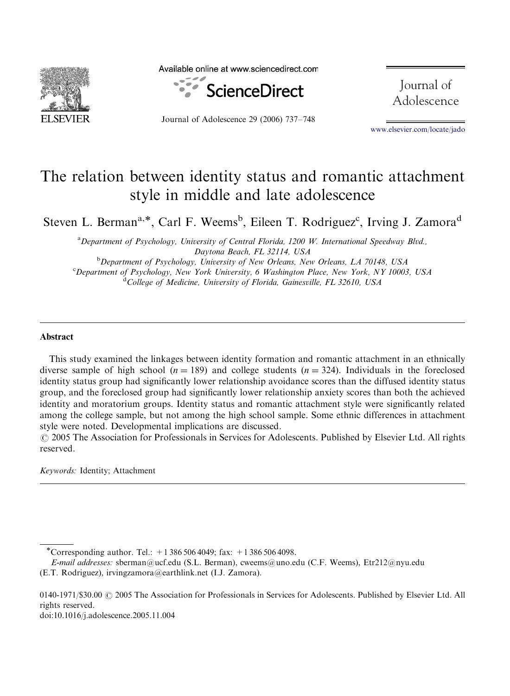

Available online at www.sciencedirect.com



Journal of Adolescence 29 (2006) 737–748

Journal of Adolescence

<www.elsevier.com/locate/jado>

# The relation between identity status and romantic attachment style in middle and late adolescence

Steven L. Berman<sup>a,\*</sup>, Carl F. Weems<sup>b</sup>, Eileen T. Rodriguez<sup>c</sup>, Irving J. Zamora<sup>d</sup>

<sup>a</sup> Department of Psychology, University of Central Florida, 1200 W. International Speedway Blvd., Daytona Beach, FL 32114, USA<br><sup>b</sup>Department of Psychology, University of New Orleans, Nex

<sup>b</sup>Department of Psychology, University of New Orleans, New Orleans, LA 70148, USA<br>CDepartment of Psychology, New York University 6 Washington Place, New York, N.Y.10003 <sup>c</sup>Department of Psychology, New York University, 6 Washington Place, New York, NY 10003, USA  $^{d}$ College of Medicine, University of Florida, Gainesville, FL 32610, USA

#### Abstract

This study examined the linkages between identity formation and romantic attachment in an ethnically diverse sample of high school ( $n = 189$ ) and college students ( $n = 324$ ). Individuals in the foreclosed identity status group had significantly lower relationship avoidance scores than the diffused identity status group, and the foreclosed group had significantly lower relationship anxiety scores than both the achieved identity and moratorium groups. Identity status and romantic attachment style were significantly related among the college sample, but not among the high school sample. Some ethnic differences in attachment style were noted. Developmental implications are discussed.

r 2005 The Association for Professionals in Services for Adolescents. Published by Elsevier Ltd. All rights reserved.

Keywords: Identity; Attachment

doi:10.1016/j.adolescence.2005.11.004

<sup>\*</sup>Corresponding author. Tel.:  $+13865064049$ ; fax:  $+13865064098$ .

E-mail addresses: sberman@ucf.edu (S.L. Berman), cweems@uno.edu (C.F. Weems), Etr212@nyu.edu (E.T. Rodriguez), irvingzamora@earthlink.net (I.J. Zamora).

<sup>0140-1971/\$30.00</sup> C 2005 The Association for Professionals in Services for Adolescents. Published by Elsevier Ltd. All rights reserved.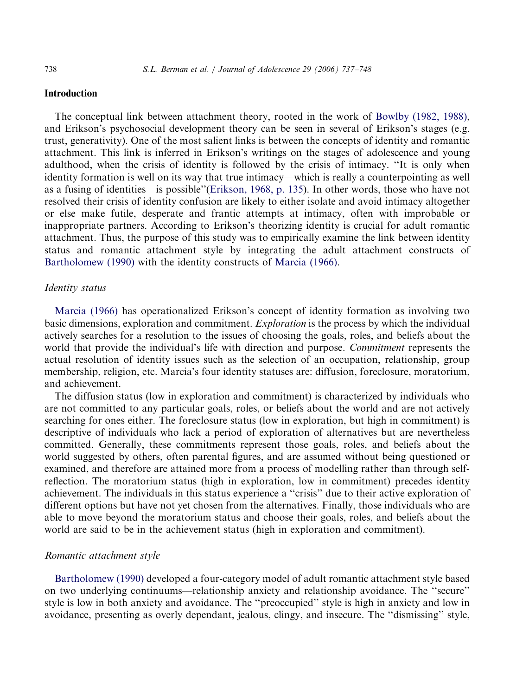### **Introduction**

The conceptual link between attachment theory, rooted in the work of [Bowlby \(1982, 1988\),](#page--1-0) and Erikson's psychosocial development theory can be seen in several of Erikson's stages (e.g. trust, generativity). One of the most salient links is between the concepts of identity and romantic attachment. This link is inferred in Erikson's writings on the stages of adolescence and young adulthood, when the crisis of identity is followed by the crisis of intimacy. ''It is only when identity formation is well on its way that true intimacy—which is really a counterpointing as well as a fusing of identities—is possible''([Erikson, 1968, p. 135\)](#page--1-0). In other words, those who have not resolved their crisis of identity confusion are likely to either isolate and avoid intimacy altogether or else make futile, desperate and frantic attempts at intimacy, often with improbable or inappropriate partners. According to Erikson's theorizing identity is crucial for adult romantic attachment. Thus, the purpose of this study was to empirically examine the link between identity status and romantic attachment style by integrating the adult attachment constructs of [Bartholomew \(1990\)](#page--1-0) with the identity constructs of [Marcia \(1966\)](#page--1-0).

## Identity status

[Marcia \(1966\)](#page--1-0) has operationalized Erikson's concept of identity formation as involving two basic dimensions, exploration and commitment. Exploration is the process by which the individual actively searches for a resolution to the issues of choosing the goals, roles, and beliefs about the world that provide the individual's life with direction and purpose. Commitment represents the actual resolution of identity issues such as the selection of an occupation, relationship, group membership, religion, etc. Marcia's four identity statuses are: diffusion, foreclosure, moratorium, and achievement.

The diffusion status (low in exploration and commitment) is characterized by individuals who are not committed to any particular goals, roles, or beliefs about the world and are not actively searching for ones either. The foreclosure status (low in exploration, but high in commitment) is descriptive of individuals who lack a period of exploration of alternatives but are nevertheless committed. Generally, these commitments represent those goals, roles, and beliefs about the world suggested by others, often parental figures, and are assumed without being questioned or examined, and therefore are attained more from a process of modelling rather than through selfreflection. The moratorium status (high in exploration, low in commitment) precedes identity achievement. The individuals in this status experience a ''crisis'' due to their active exploration of different options but have not yet chosen from the alternatives. Finally, those individuals who are able to move beyond the moratorium status and choose their goals, roles, and beliefs about the world are said to be in the achievement status (high in exploration and commitment).

### Romantic attachment style

[Bartholomew \(1990\)](#page--1-0) developed a four-category model of adult romantic attachment style based on two underlying continuums—relationship anxiety and relationship avoidance. The ''secure'' style is low in both anxiety and avoidance. The ''preoccupied'' style is high in anxiety and low in avoidance, presenting as overly dependant, jealous, clingy, and insecure. The ''dismissing'' style,